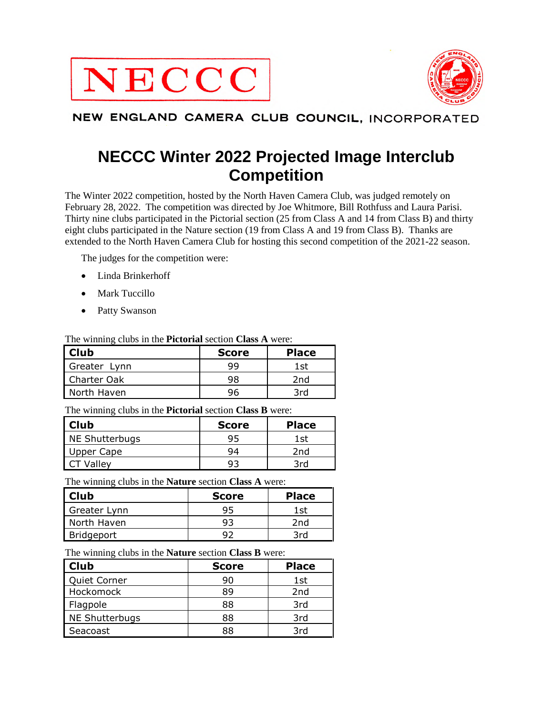



#### NEW ENGLAND CAMERA CLUB COUNCIL, INCORPORATED

# **NECCC Winter 2022 Projected Image Interclub Competition**

The Winter 2022 competition, hosted by the North Haven Camera Club, was judged remotely on February 28, 2022. The competition was directed by Joe Whitmore, Bill Rothfuss and Laura Parisi. Thirty nine clubs participated in the Pictorial section (25 from Class A and 14 from Class B) and thirty eight clubs participated in the Nature section (19 from Class A and 19 from Class B). Thanks are extended to the North Haven Camera Club for hosting this second competition of the 2021-22 season.

The judges for the competition were:

- Linda Brinkerhoff
- Mark Tuccillo
- Patty Swanson

The winning clubs in the **Pictorial** section **Class A** were:

| Club         | <b>Score</b> | <b>Place</b> |  |
|--------------|--------------|--------------|--|
| Greater Lynn | qq           | 1st          |  |
| Charter Oak  | 98           | 2nd          |  |
| North Haven  | วค           | 3rd          |  |

The winning clubs in the **Pictorial** section **Class B** were:

| l Club         | <b>Score</b> | <b>Place</b> |  |  |
|----------------|--------------|--------------|--|--|
| NE Shutterbugs | 95           | 1st          |  |  |
| Upper Cape     | 94           | 2nd          |  |  |
| CT Valley      |              | 3rd          |  |  |

The winning clubs in the **Nature** section **Class A** were:

| <b>Club</b>  | <b>Score</b> | <b>Place</b> |
|--------------|--------------|--------------|
| Greater Lynn | 95           | 1st          |
| North Haven  | 93           | 2nd          |
| Bridgeport   | QJ           | 3rd          |

The winning clubs in the **Nature** section **Class B** were:

| <b>Club</b>    | <b>Score</b> | <b>Place</b>    |
|----------------|--------------|-----------------|
| Quiet Corner   | 90           | 1st             |
| Hockomock      | 89           | 2 <sub>nd</sub> |
| Flagpole       | 88           | 3rd             |
| NE Shutterbugs | 88           | 3rd             |
| Seacoast       | 88           | 3rd             |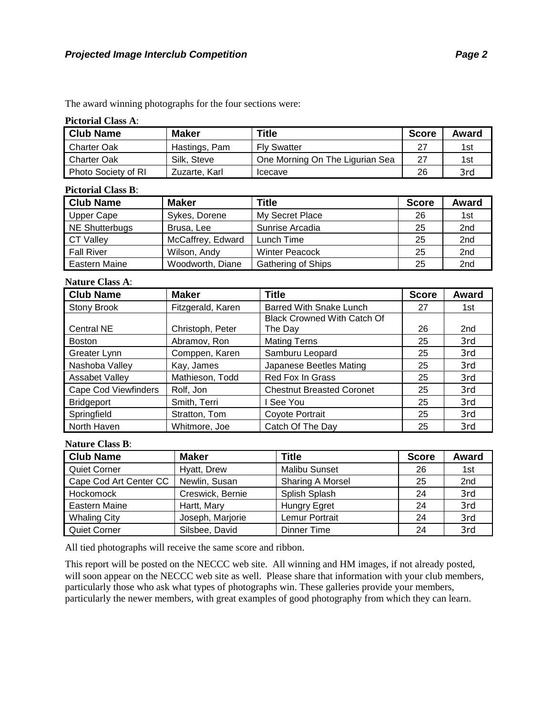The award winning photographs for the four sections were:

#### **Pictorial Class A**:

| <b>Club Name</b>    | <b>Maker</b>  | Title                           | <b>Score</b> | Award |
|---------------------|---------------|---------------------------------|--------------|-------|
| <b>Charter Oak</b>  | Hastings, Pam | <b>Fly Swatter</b>              | -27          | 1st   |
| <b>Charter Oak</b>  | Silk. Steve   | One Morning On The Ligurian Sea | 27           | 1st   |
| Photo Society of RI | Zuzarte, Karl | Icecave                         | 26           | 3rd   |

#### **Pictorial Class B**:

| <b>Club Name</b>  | <b>Maker</b>      | <b>Title</b>              | <b>Score</b> | Award           |
|-------------------|-------------------|---------------------------|--------------|-----------------|
| Upper Cape        | Sykes, Dorene     | My Secret Place           | 26           | 1st             |
| NE Shutterbugs    | Brusa, Lee        | Sunrise Arcadia           | 25           | 2 <sub>nd</sub> |
| <b>CT Valley</b>  | McCaffrey, Edward | Lunch Time                | 25           | 2 <sub>nd</sub> |
| <b>Fall River</b> | Wilson, Andy      | <b>Winter Peacock</b>     | 25           | 2 <sub>nd</sub> |
| Eastern Maine     | Woodworth, Diane  | <b>Gathering of Ships</b> | 25           | 2 <sub>nd</sub> |

#### **Nature Class A**:

| <b>Club Name</b>            | <b>Maker</b>      | <b>Title</b>                       | <b>Score</b> | Award |
|-----------------------------|-------------------|------------------------------------|--------------|-------|
| <b>Stony Brook</b>          | Fitzgerald, Karen | <b>Barred With Snake Lunch</b>     | 27           | 1st   |
|                             |                   | <b>Black Crowned With Catch Of</b> |              |       |
| Central NE                  | Christoph, Peter  | The Day                            | 26           | 2nd   |
| <b>Boston</b>               | Abramov, Ron      | <b>Mating Terns</b>                | 25           | 3rd   |
| Greater Lynn                | Comppen, Karen    | Samburu Leopard                    | 25           | 3rd   |
| Nashoba Valley              | Kay, James        | Japanese Beetles Mating            | 25           | 3rd   |
| Assabet Valley              | Mathieson, Todd   | Red Fox In Grass                   | 25           | 3rd   |
| <b>Cape Cod Viewfinders</b> | Rolf, Jon         | <b>Chestnut Breasted Coronet</b>   | 25           | 3rd   |
| <b>Bridgeport</b>           | Smith, Terri      | See You                            | 25           | 3rd   |
| Springfield                 | Stratton, Tom     | Coyote Portrait                    | 25           | 3rd   |
| North Haven                 | Whitmore, Joe     | Catch Of The Day                   | 25           | 3rd   |

#### **Nature Class B**:

| <b>Club Name</b>       | <b>Maker</b>     | <b>Title</b>         | <b>Score</b> | Award |
|------------------------|------------------|----------------------|--------------|-------|
| <b>Quiet Corner</b>    | Hyatt, Drew      | <b>Malibu Sunset</b> | 26           | 1st   |
| Cape Cod Art Center CC | Newlin, Susan    | Sharing A Morsel     | 25           | 2nd   |
| Hockomock              | Creswick, Bernie | Splish Splash        | 24           | 3rd   |
| <b>Eastern Maine</b>   | Hartt, Mary      | Hungry Egret         | 24           | 3rd   |
| <b>Whaling City</b>    | Joseph, Marjorie | Lemur Portrait       | 24           | 3rd   |
| <b>Quiet Corner</b>    | Silsbee, David   | Dinner Time          | 24           | 3rd   |

All tied photographs will receive the same score and ribbon.

This report will be posted on the NECCC web site. All winning and HM images, if not already posted, will soon appear on the NECCC web site as well. Please share that information with your club members, particularly those who ask what types of photographs win. These galleries provide your members, particularly the newer members, with great examples of good photography from which they can learn.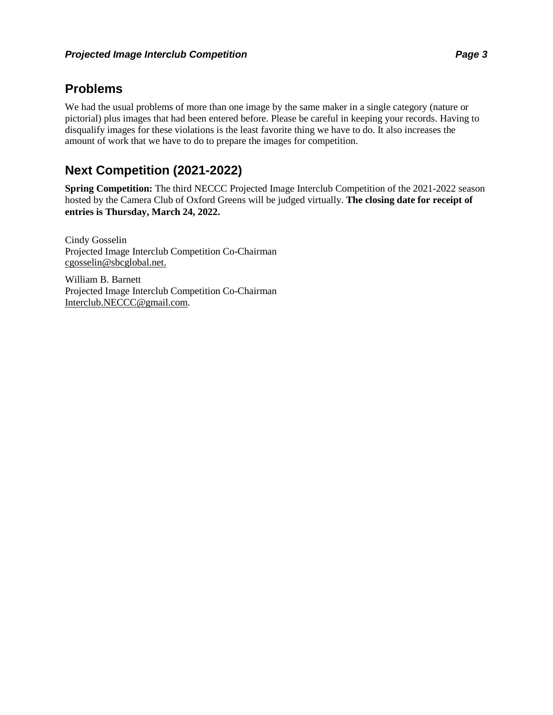### **Problems**

We had the usual problems of more than one image by the same maker in a single category (nature or pictorial) plus images that had been entered before. Please be careful in keeping your records. Having to disqualify images for these violations is the least favorite thing we have to do. It also increases the amount of work that we have to do to prepare the images for competition.

### **Next Competition (2021-2022)**

**Spring Competition:** The third NECCC Projected Image Interclub Competition of the 2021-2022 season hosted by the Camera Club of Oxford Greens will be judged virtually. **The closing date for receipt of entries is Thursday, March 24, 2022.**

Cindy Gosselin Projected Image Interclub Competition Co-Chairman cgosselin@sbcglobal.net.

William B. Barnett Projected Image Interclub Competition Co-Chairman Interclub.NECCC@gmail.com.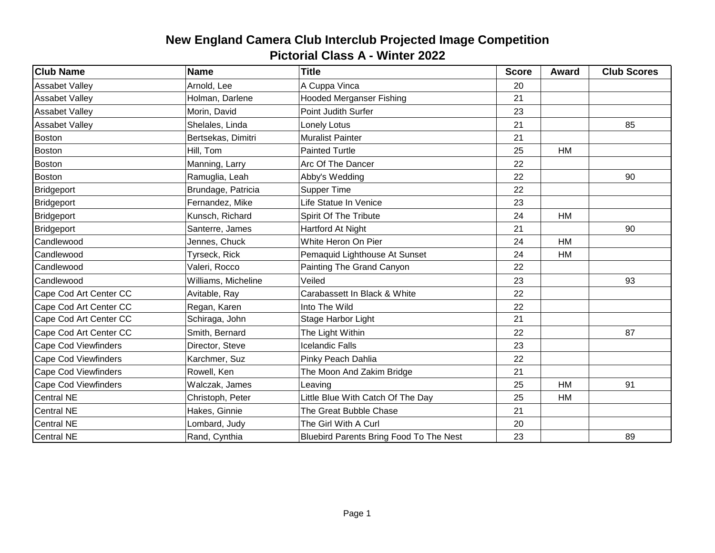| <b>Club Name</b>            | <b>Name</b>         | <b>Title</b>                            | <b>Score</b> | <b>Award</b> | <b>Club Scores</b> |
|-----------------------------|---------------------|-----------------------------------------|--------------|--------------|--------------------|
| <b>Assabet Valley</b>       | Arnold, Lee         | A Cuppa Vinca                           | 20           |              |                    |
| <b>Assabet Valley</b>       | Holman, Darlene     | <b>Hooded Merganser Fishing</b>         | 21           |              |                    |
| <b>Assabet Valley</b>       | Morin, David        | Point Judith Surfer                     | 23           |              |                    |
| <b>Assabet Valley</b>       | Shelales, Linda     | Lonely Lotus                            | 21           |              | 85                 |
| Boston                      | Bertsekas, Dimitri  | <b>Muralist Painter</b>                 | 21           |              |                    |
| Boston                      | Hill, Tom           | <b>Painted Turtle</b>                   | 25           | HM           |                    |
| <b>Boston</b>               | Manning, Larry      | Arc Of The Dancer                       | 22           |              |                    |
| Boston                      | Ramuglia, Leah      | Abby's Wedding                          | 22           |              | 90                 |
| Bridgeport                  | Brundage, Patricia  | Supper Time                             | 22           |              |                    |
| Bridgeport                  | Fernandez, Mike     | Life Statue In Venice                   | 23           |              |                    |
| Bridgeport                  | Kunsch, Richard     | Spirit Of The Tribute                   | 24           | <b>HM</b>    |                    |
| Bridgeport                  | Santerre, James     | Hartford At Night                       | 21           |              | 90                 |
| Candlewood                  | Jennes, Chuck       | White Heron On Pier                     | 24           | HM           |                    |
| Candlewood                  | Tyrseck, Rick       | Pemaquid Lighthouse At Sunset           | 24           | <b>HM</b>    |                    |
| Candlewood                  | Valeri, Rocco       | Painting The Grand Canyon               | 22           |              |                    |
| Candlewood                  | Williams, Micheline | Veiled                                  | 23           |              | 93                 |
| Cape Cod Art Center CC      | Avitable, Ray       | Carabassett In Black & White            | 22           |              |                    |
| Cape Cod Art Center CC      | Regan, Karen        | Into The Wild                           | 22           |              |                    |
| Cape Cod Art Center CC      | Schiraga, John      | Stage Harbor Light                      | 21           |              |                    |
| Cape Cod Art Center CC      | Smith, Bernard      | The Light Within                        | 22           |              | 87                 |
| <b>Cape Cod Viewfinders</b> | Director, Steve     | <b>Icelandic Falls</b>                  | 23           |              |                    |
| <b>Cape Cod Viewfinders</b> | Karchmer, Suz       | Pinky Peach Dahlia                      | 22           |              |                    |
| Cape Cod Viewfinders        | Rowell, Ken         | The Moon And Zakim Bridge               | 21           |              |                    |
| Cape Cod Viewfinders        | Walczak, James      | Leaving                                 | 25           | <b>HM</b>    | 91                 |
| <b>Central NE</b>           | Christoph, Peter    | Little Blue With Catch Of The Day       | 25           | HM           |                    |
| <b>Central NE</b>           | Hakes, Ginnie       | The Great Bubble Chase                  | 21           |              |                    |
| <b>Central NE</b>           | Lombard, Judy       | The Girl With A Curl                    | 20           |              |                    |
| <b>Central NE</b>           | Rand, Cynthia       | Bluebird Parents Bring Food To The Nest | 23           |              | 89                 |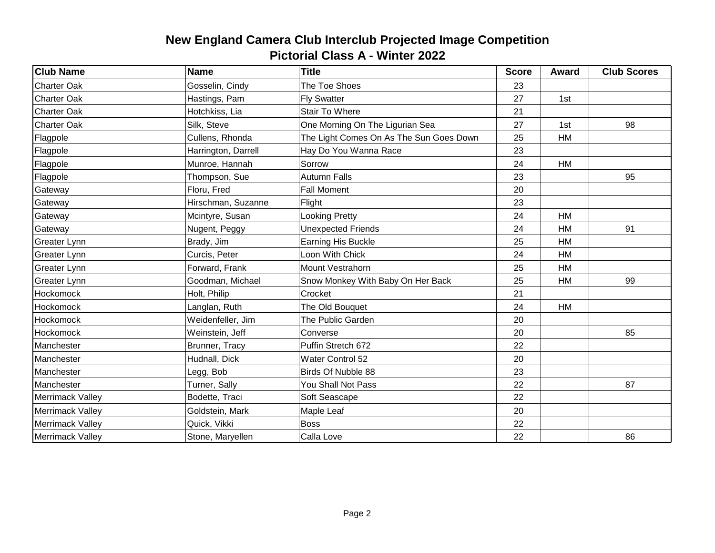| <b>Club Name</b>    | <b>Name</b>         | <b>Title</b>                            | <b>Score</b> | Award     | <b>Club Scores</b> |
|---------------------|---------------------|-----------------------------------------|--------------|-----------|--------------------|
| <b>Charter Oak</b>  | Gosselin, Cindy     | The Toe Shoes                           | 23           |           |                    |
| <b>Charter Oak</b>  | Hastings, Pam       | <b>Fly Swatter</b>                      | 27           | 1st       |                    |
| <b>Charter Oak</b>  | Hotchkiss, Lia      | Stair To Where                          | 21           |           |                    |
| <b>Charter Oak</b>  | Silk, Steve         | One Morning On The Ligurian Sea         | 27           | 1st       | 98                 |
| Flagpole            | Cullens, Rhonda     | The Light Comes On As The Sun Goes Down | 25           | HM        |                    |
| Flagpole            | Harrington, Darrell | Hay Do You Wanna Race                   | 23           |           |                    |
| Flagpole            | Munroe, Hannah      | Sorrow                                  | 24           | HM        |                    |
| Flagpole            | Thompson, Sue       | <b>Autumn Falls</b>                     | 23           |           | 95                 |
| Gateway             | Floru, Fred         | <b>Fall Moment</b>                      | 20           |           |                    |
| Gateway             | Hirschman, Suzanne  | Flight                                  | 23           |           |                    |
| Gateway             | Mcintyre, Susan     | <b>Looking Pretty</b>                   | 24           | <b>HM</b> |                    |
| Gateway             | Nugent, Peggy       | <b>Unexpected Friends</b>               | 24           | HM        | 91                 |
| Greater Lynn        | Brady, Jim          | Earning His Buckle                      | 25           | HM        |                    |
| Greater Lynn        | Curcis, Peter       | Loon With Chick                         | 24           | <b>HM</b> |                    |
| <b>Greater Lynn</b> | Forward, Frank      | Mount Vestrahorn                        | 25           | HM        |                    |
| Greater Lynn        | Goodman, Michael    | Snow Monkey With Baby On Her Back       | 25           | HM        | 99                 |
| Hockomock           | Holt, Philip        | Crocket                                 | 21           |           |                    |
| Hockomock           | Langlan, Ruth       | The Old Bouquet                         | 24           | <b>HM</b> |                    |
| Hockomock           | Weidenfeller, Jim   | The Public Garden                       | 20           |           |                    |
| Hockomock           | Weinstein, Jeff     | Converse                                | 20           |           | 85                 |
| Manchester          | Brunner, Tracy      | Puffin Stretch 672                      | 22           |           |                    |
| Manchester          | Hudnall, Dick       | Water Control 52                        | 20           |           |                    |
| Manchester          | Legg, Bob           | Birds Of Nubble 88                      | 23           |           |                    |
| Manchester          | Turner, Sally       | You Shall Not Pass                      | 22           |           | 87                 |
| Merrimack Valley    | Bodette, Traci      | Soft Seascape                           | 22           |           |                    |
| Merrimack Valley    | Goldstein, Mark     | Maple Leaf                              | 20           |           |                    |
| Merrimack Valley    | Quick, Vikki        | <b>Boss</b>                             | 22           |           |                    |
| Merrimack Valley    | Stone, Maryellen    | Calla Love                              | 22           |           | 86                 |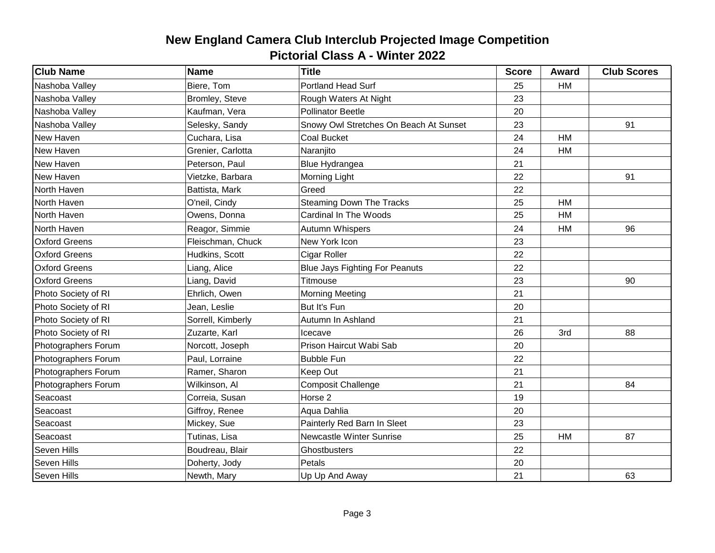| <b>Club Name</b>     | <b>Name</b>       | <b>Title</b>                           | <b>Score</b> | Award     | <b>Club Scores</b> |
|----------------------|-------------------|----------------------------------------|--------------|-----------|--------------------|
| Nashoba Valley       | Biere, Tom        | Portland Head Surf                     | 25           | HM        |                    |
| Nashoba Valley       | Bromley, Steve    | Rough Waters At Night                  | 23           |           |                    |
| Nashoba Valley       | Kaufman, Vera     | <b>Pollinator Beetle</b>               | 20           |           |                    |
| Nashoba Valley       | Selesky, Sandy    | Snowy Owl Stretches On Beach At Sunset | 23           |           | 91                 |
| New Haven            | Cuchara, Lisa     | Coal Bucket                            | 24           | HM        |                    |
| New Haven            | Grenier, Carlotta | Naranjito                              | 24           | HM        |                    |
| New Haven            | Peterson, Paul    | <b>Blue Hydrangea</b>                  | 21           |           |                    |
| New Haven            | Vietzke, Barbara  | <b>Morning Light</b>                   | 22           |           | 91                 |
| North Haven          | Battista, Mark    | Greed                                  | 22           |           |                    |
| North Haven          | O'neil, Cindy     | <b>Steaming Down The Tracks</b>        | 25           | <b>HM</b> |                    |
| North Haven          | Owens, Donna      | Cardinal In The Woods                  | 25           | HM        |                    |
| North Haven          | Reagor, Simmie    | <b>Autumn Whispers</b>                 | 24           | HM        | 96                 |
| <b>Oxford Greens</b> | Fleischman, Chuck | New York Icon                          | 23           |           |                    |
| <b>Oxford Greens</b> | Hudkins, Scott    | Cigar Roller                           | 22           |           |                    |
| <b>Oxford Greens</b> | Liang, Alice      | <b>Blue Jays Fighting For Peanuts</b>  | 22           |           |                    |
| <b>Oxford Greens</b> | Liang, David      | Titmouse                               | 23           |           | 90                 |
| Photo Society of RI  | Ehrlich, Owen     | <b>Morning Meeting</b>                 | 21           |           |                    |
| Photo Society of RI  | Jean, Leslie      | But It's Fun                           | 20           |           |                    |
| Photo Society of RI  | Sorrell, Kimberly | Autumn In Ashland                      | 21           |           |                    |
| Photo Society of RI  | Zuzarte, Karl     | Icecave                                | 26           | 3rd       | 88                 |
| Photographers Forum  | Norcott, Joseph   | Prison Haircut Wabi Sab                | 20           |           |                    |
| Photographers Forum  | Paul, Lorraine    | <b>Bubble Fun</b>                      | 22           |           |                    |
| Photographers Forum  | Ramer, Sharon     | Keep Out                               | 21           |           |                    |
| Photographers Forum  | Wilkinson, Al     | <b>Composit Challenge</b>              | 21           |           | 84                 |
| Seacoast             | Correia, Susan    | Horse <sub>2</sub>                     | 19           |           |                    |
| Seacoast             | Giffroy, Renee    | Aqua Dahlia                            | 20           |           |                    |
| Seacoast             | Mickey, Sue       | Painterly Red Barn In Sleet            | 23           |           |                    |
| Seacoast             | Tutinas, Lisa     | Newcastle Winter Sunrise               | 25           | HM        | 87                 |
| Seven Hills          | Boudreau, Blair   | Ghostbusters                           | 22           |           |                    |
| Seven Hills          | Doherty, Jody     | Petals                                 | 20           |           |                    |
| <b>Seven Hills</b>   | Newth, Mary       | Up Up And Away                         | 21           |           | 63                 |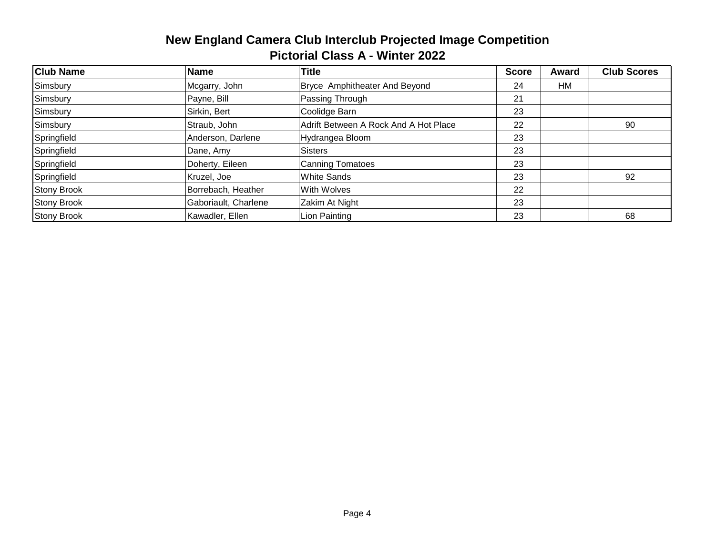| <b>Club Name</b>   | <b>Name</b>          | <b>Title</b>                          | <b>Score</b> | Award | <b>Club Scores</b> |
|--------------------|----------------------|---------------------------------------|--------------|-------|--------------------|
| Simsbury           | Mcgarry, John        | Bryce Amphitheater And Beyond         | 24           | HM    |                    |
| Simsbury           | Payne, Bill          | Passing Through                       | 21           |       |                    |
| Simsbury           | Sirkin, Bert         | Coolidge Barn                         | 23           |       |                    |
| Simsbury           | Straub, John         | Adrift Between A Rock And A Hot Place | 22           |       | 90                 |
| Springfield        | Anderson, Darlene    | Hydrangea Bloom                       | 23           |       |                    |
| Springfield        | Dane, Amy            | Sisters                               | 23           |       |                    |
| Springfield        | Doherty, Eileen      | <b>Canning Tomatoes</b>               | 23           |       |                    |
| Springfield        | Kruzel, Joe          | <b>White Sands</b>                    | 23           |       | 92                 |
| <b>Stony Brook</b> | Borrebach, Heather   | <b>With Wolves</b>                    | 22           |       |                    |
| <b>Stony Brook</b> | Gaboriault, Charlene | Zakim At Night                        | 23           |       |                    |
| <b>Stony Brook</b> | Kawadler, Ellen      | Lion Painting                         | 23           |       | 68                 |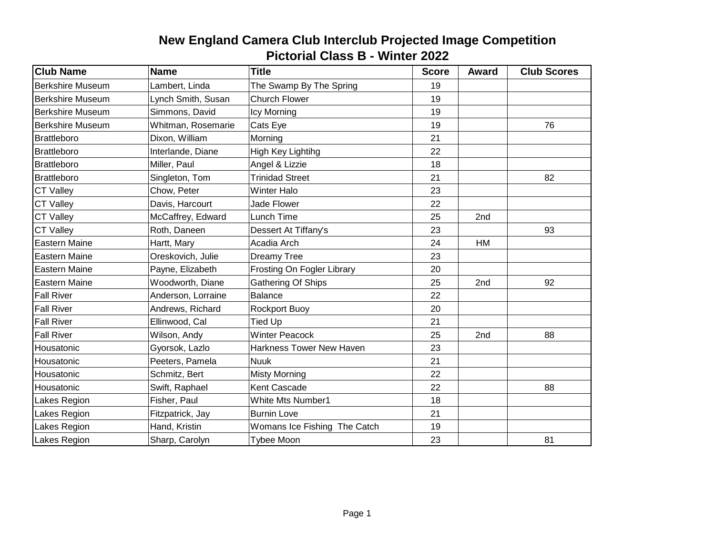| <b>Club Name</b>        | <b>Name</b>        | <b>Title</b>                    | <b>Score</b> | Award | <b>Club Scores</b> |
|-------------------------|--------------------|---------------------------------|--------------|-------|--------------------|
| <b>Berkshire Museum</b> | Lambert, Linda     | The Swamp By The Spring         | 19           |       |                    |
| <b>Berkshire Museum</b> | Lynch Smith, Susan | <b>Church Flower</b>            | 19           |       |                    |
| <b>Berkshire Museum</b> | Simmons, David     | Icy Morning                     | 19           |       |                    |
| <b>Berkshire Museum</b> | Whitman, Rosemarie | Cats Eye                        | 19           |       | 76                 |
| <b>Brattleboro</b>      | Dixon, William     | 21<br>Morning                   |              |       |                    |
| <b>Brattleboro</b>      | Interlande, Diane  | High Key Lightihg               | 22           |       |                    |
| <b>Brattleboro</b>      | Miller, Paul       | Angel & Lizzie                  | 18           |       |                    |
| <b>Brattleboro</b>      | Singleton, Tom     | <b>Trinidad Street</b>          | 21           |       | 82                 |
| <b>CT Valley</b>        | Chow, Peter        | <b>Winter Halo</b>              | 23           |       |                    |
| <b>CT Valley</b>        | Davis, Harcourt    | <b>Jade Flower</b>              | 22           |       |                    |
| <b>CT Valley</b>        | McCaffrey, Edward  | Lunch Time                      | 25           | 2nd   |                    |
| <b>CT Valley</b>        | Roth, Daneen       | Dessert At Tiffany's            | 23           |       | 93                 |
| <b>Eastern Maine</b>    | Hartt, Mary        | Acadia Arch                     | 24           | HM    |                    |
| Eastern Maine           | Oreskovich, Julie  | Dreamy Tree                     | 23           |       |                    |
| <b>Eastern Maine</b>    | Payne, Elizabeth   | Frosting On Fogler Library      | 20           |       |                    |
| Eastern Maine           | Woodworth, Diane   | Gathering Of Ships              | 25           | 2nd   | 92                 |
| <b>Fall River</b>       | Anderson, Lorraine | <b>Balance</b>                  | 22           |       |                    |
| <b>Fall River</b>       | Andrews, Richard   | <b>Rockport Buoy</b>            | 20           |       |                    |
| <b>Fall River</b>       | Ellinwood, Cal     | <b>Tied Up</b>                  | 21           |       |                    |
| <b>Fall River</b>       | Wilson, Andy       | <b>Winter Peacock</b>           | 25           | 2nd   | 88                 |
| Housatonic              | Gyorsok, Lazlo     | <b>Harkness Tower New Haven</b> | 23           |       |                    |
| Housatonic              | Peeters, Pamela    | <b>Nuuk</b>                     | 21           |       |                    |
| Housatonic              | Schmitz, Bert      | <b>Misty Morning</b>            | 22           |       |                    |
| Housatonic              | Swift, Raphael     | Kent Cascade                    | 22           |       | 88                 |
| Lakes Region            | Fisher, Paul       | <b>White Mts Number1</b>        | 18           |       |                    |
| Lakes Region            | Fitzpatrick, Jay   | <b>Burnin Love</b>              | 21           |       |                    |
| Lakes Region            | Hand, Kristin      | Womans Ice Fishing The Catch    | 19           |       |                    |
| Lakes Region            | Sharp, Carolyn     | <b>Tybee Moon</b>               | 23           |       | 81                 |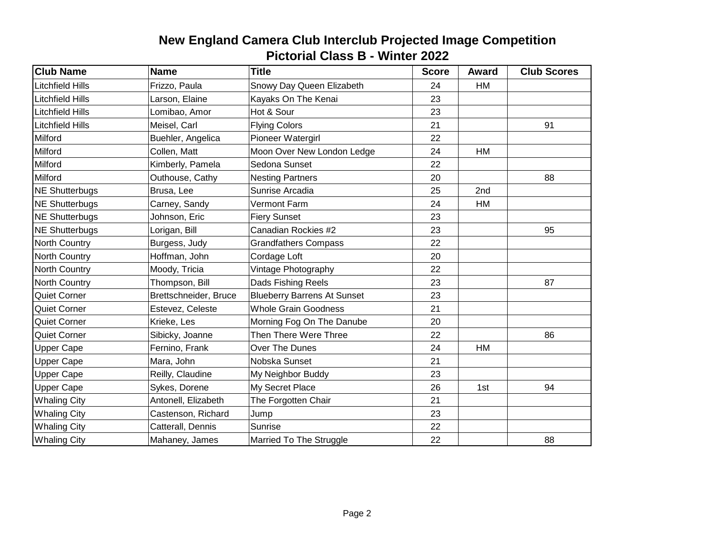| <b>Club Name</b>        | <b>Name</b>           | <b>Title</b>                       | <b>Score</b> | <b>Award</b> | <b>Club Scores</b> |
|-------------------------|-----------------------|------------------------------------|--------------|--------------|--------------------|
| <b>Litchfield Hills</b> | Frizzo, Paula         | Snowy Day Queen Elizabeth          | 24           | HM           |                    |
| <b>Litchfield Hills</b> | Larson, Elaine        | Kayaks On The Kenai                | 23           |              |                    |
| <b>Litchfield Hills</b> | Lomibao, Amor         | Hot & Sour                         | 23           |              |                    |
| <b>Litchfield Hills</b> | Meisel, Carl          | <b>Flying Colors</b>               | 21           |              | 91                 |
| Milford                 | Buehler, Angelica     | Pioneer Watergirl                  | 22           |              |                    |
| Milford                 | Collen, Matt          | Moon Over New London Ledge         | 24           | HM           |                    |
| Milford                 | Kimberly, Pamela      | Sedona Sunset                      | 22           |              |                    |
| Milford                 | Outhouse, Cathy       | <b>Nesting Partners</b>            | 20           |              | 88                 |
| NE Shutterbugs          | Brusa, Lee            | Sunrise Arcadia                    | 25           | 2nd          |                    |
| <b>NE Shutterbugs</b>   | Carney, Sandy         | <b>Vermont Farm</b>                | 24           | HM           |                    |
| NE Shutterbugs          | Johnson, Eric         | <b>Fiery Sunset</b>                | 23           |              |                    |
| <b>NE Shutterbugs</b>   | Lorigan, Bill         | Canadian Rockies #2                | 23           |              | 95                 |
| North Country           | Burgess, Judy         | <b>Grandfathers Compass</b>        | 22           |              |                    |
| North Country           | Hoffman, John         | Cordage Loft                       | 20           |              |                    |
| North Country           | Moody, Tricia         | Vintage Photography                | 22           |              |                    |
| North Country           | Thompson, Bill        | Dads Fishing Reels                 | 23           |              | 87                 |
| Quiet Corner            | Brettschneider, Bruce | <b>Blueberry Barrens At Sunset</b> | 23           |              |                    |
| <b>Quiet Corner</b>     | Estevez, Celeste      | <b>Whole Grain Goodness</b>        | 21           |              |                    |
| <b>Quiet Corner</b>     | Krieke, Les           | Morning Fog On The Danube          | 20           |              |                    |
| <b>Quiet Corner</b>     | Sibicky, Joanne       | Then There Were Three              | 22           |              | 86                 |
| <b>Upper Cape</b>       | Fernino, Frank        | Over The Dunes                     | 24           | HM           |                    |
| <b>Upper Cape</b>       | Mara, John            | Nobska Sunset                      | 21           |              |                    |
| <b>Upper Cape</b>       | Reilly, Claudine      | My Neighbor Buddy                  | 23           |              |                    |
| <b>Upper Cape</b>       | Sykes, Dorene         | My Secret Place                    | 26           | 1st          | 94                 |
| <b>Whaling City</b>     | Antonell, Elizabeth   | The Forgotten Chair                | 21           |              |                    |
| <b>Whaling City</b>     | Castenson, Richard    | Jump                               | 23           |              |                    |
| <b>Whaling City</b>     | Catterall, Dennis     | <b>Sunrise</b>                     | 22           |              |                    |
| <b>Whaling City</b>     | Mahaney, James        | Married To The Struggle            | 22           |              | 88                 |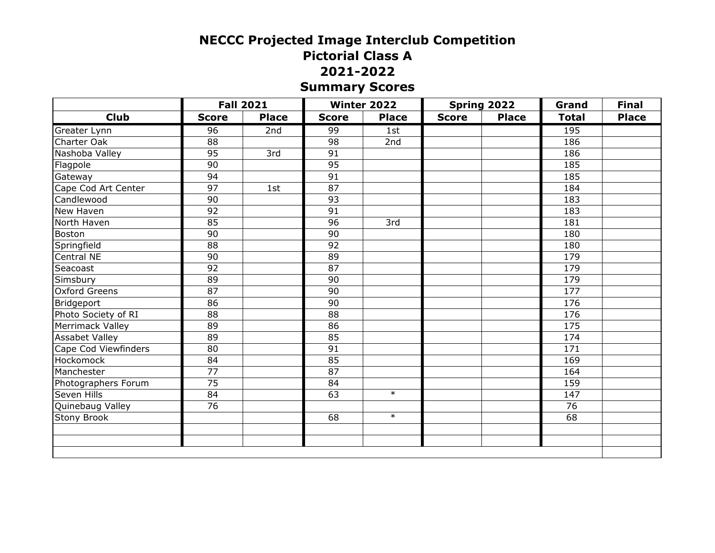# **NECCC Projected Image Interclub Competition Pictorial Class A 2021-2022 Summary Scores**

|                       |                 | <b>Fall 2021</b> |              | <b>Winter 2022</b> |              | Spring 2022  | Grand        | <b>Final</b> |
|-----------------------|-----------------|------------------|--------------|--------------------|--------------|--------------|--------------|--------------|
| <b>Club</b>           | <b>Score</b>    | <b>Place</b>     | <b>Score</b> | <b>Place</b>       | <b>Score</b> | <b>Place</b> | <b>Total</b> | <b>Place</b> |
| Greater Lynn          | 96              | 2nd              | 99           | 1st                |              |              | 195          |              |
| Charter Oak           | $\overline{88}$ |                  | 98           | 2nd                |              |              | 186          |              |
| Nashoba Valley        | 95              | 3rd              | 91           |                    |              |              | 186          |              |
| Flagpole              | 90              |                  | 95           |                    |              |              | 185          |              |
| Gateway               | 94              |                  | 91           |                    |              |              | 185          |              |
| Cape Cod Art Center   | $\overline{97}$ | 1st              | 87           |                    |              |              | 184          |              |
| Candlewood            | 90              |                  | 93           |                    |              |              | 183          |              |
| New Haven             | 92              |                  | 91           |                    |              |              | 183          |              |
| North Haven           | 85              |                  | 96           | 3rd                |              |              | 181          |              |
| Boston                | $\overline{90}$ |                  | 90           |                    |              |              | 180          |              |
| Springfield           | 88              |                  | 92           |                    |              |              | 180          |              |
| Central NE            | 90              |                  | 89           |                    |              |              | 179          |              |
| Seacoast              | 92              |                  | 87           |                    |              |              | 179          |              |
| Simsbury              | 89              |                  | 90           |                    |              |              | 179          |              |
| <b>Oxford Greens</b>  | 87              |                  | 90           |                    |              |              | 177          |              |
| Bridgeport            | 86              |                  | 90           |                    |              |              | 176          |              |
| Photo Society of RI   | 88              |                  | 88           |                    |              |              | 176          |              |
| Merrimack Valley      | 89              |                  | 86           |                    |              |              | 175          |              |
| <b>Assabet Valley</b> | 89              |                  | 85           |                    |              |              | 174          |              |
| Cape Cod Viewfinders  | 80              |                  | 91           |                    |              |              | 171          |              |
| Hockomock             | 84              |                  | 85           |                    |              |              | 169          |              |
| Manchester            | 77              |                  | 87           |                    |              |              | 164          |              |
| Photographers Forum   | 75              |                  | 84           |                    |              |              | 159          |              |
| Seven Hills           | 84              |                  | 63           | $\ast$             |              |              | 147          |              |
| Quinebaug Valley      | 76              |                  |              |                    |              |              | 76           |              |
| Stony Brook           |                 |                  | 68           | $\ast$             |              |              | 68           |              |
|                       |                 |                  |              |                    |              |              |              |              |
|                       |                 |                  |              |                    |              |              |              |              |
|                       |                 |                  |              |                    |              |              |              |              |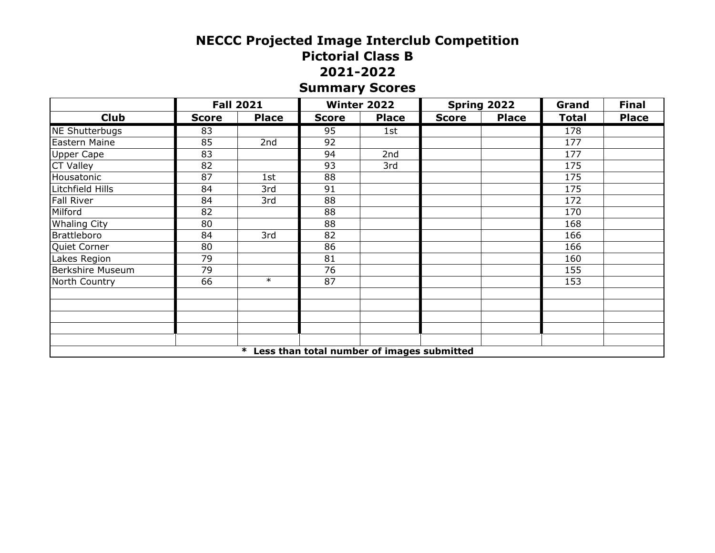# **NECCC Projected Image Interclub Competition Pictorial Class B 2021-2022 Summary Scores**

|                         |              | <b>Fall 2021</b> |                                              | Winter 2022  |              | Spring 2022  | Grand        | <b>Final</b> |
|-------------------------|--------------|------------------|----------------------------------------------|--------------|--------------|--------------|--------------|--------------|
| <b>Club</b>             | <b>Score</b> | <b>Place</b>     | <b>Score</b>                                 | <b>Place</b> | <b>Score</b> | <b>Place</b> | <b>Total</b> | <b>Place</b> |
| NE Shutterbugs          | 83           |                  | 95                                           | 1st          |              |              | 178          |              |
| Eastern Maine           | 85           | 2nd              | 92                                           |              |              |              | 177          |              |
| <b>Upper Cape</b>       | 83           |                  | 94                                           | 2nd          |              |              | 177          |              |
| <b>CT Valley</b>        | 82           |                  | 93                                           | 3rd          |              |              | 175          |              |
| Housatonic              | 87           | 1st              | 88                                           |              |              |              | 175          |              |
| Litchfield Hills        | 84           | 3rd              | 91                                           |              |              |              | 175          |              |
| <b>Fall River</b>       | 84           | 3rd              | 88                                           |              |              |              | 172          |              |
| Milford                 | 82           |                  | 88                                           |              |              |              | 170          |              |
| <b>Whaling City</b>     | 80           |                  | 88                                           |              |              |              | 168          |              |
| <b>Brattleboro</b>      | 84           | 3rd              | 82                                           |              |              |              | 166          |              |
| Quiet Corner            | 80           |                  | 86                                           |              |              |              | 166          |              |
| Lakes Region            | 79           |                  | 81                                           |              |              |              | 160          |              |
| <b>Berkshire Museum</b> | 79           |                  | 76                                           |              |              |              | 155          |              |
| North Country           | 66           | $\ast$           | 87                                           |              |              |              | 153          |              |
|                         |              |                  |                                              |              |              |              |              |              |
|                         |              |                  |                                              |              |              |              |              |              |
|                         |              |                  |                                              |              |              |              |              |              |
|                         |              |                  |                                              |              |              |              |              |              |
|                         |              |                  |                                              |              |              |              |              |              |
|                         |              |                  | * Less than total number of images submitted |              |              |              |              |              |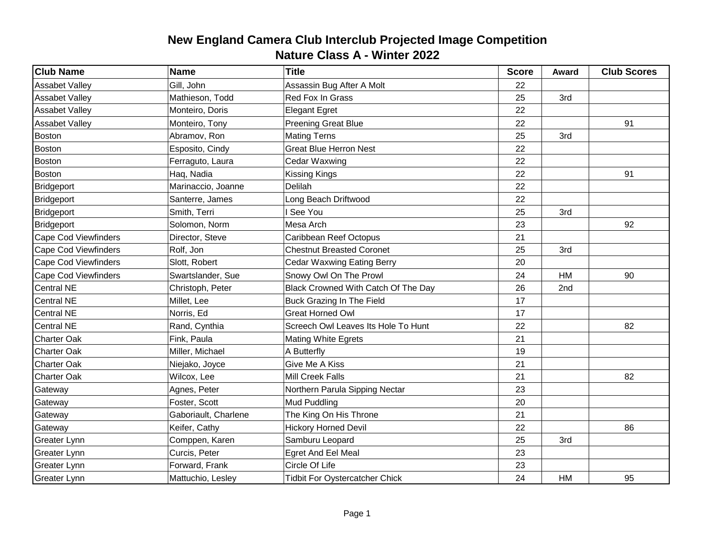| <b>Club Name</b>            | <b>Name</b>          | <b>Title</b>                          | <b>Score</b> | Award | <b>Club Scores</b> |
|-----------------------------|----------------------|---------------------------------------|--------------|-------|--------------------|
| <b>Assabet Valley</b>       | Gill, John           | Assassin Bug After A Molt             | 22           |       |                    |
| <b>Assabet Valley</b>       | Mathieson, Todd      | Red Fox In Grass                      | 25           | 3rd   |                    |
| <b>Assabet Valley</b>       | Monteiro, Doris      | <b>Elegant Egret</b>                  | 22           |       |                    |
| <b>Assabet Valley</b>       | Monteiro, Tony       | <b>Preening Great Blue</b>            | 22           |       | 91                 |
| <b>Boston</b>               | Abramov, Ron         | <b>Mating Terns</b>                   | 25           | 3rd   |                    |
| <b>Boston</b>               | Esposito, Cindy      | <b>Great Blue Herron Nest</b>         | 22           |       |                    |
| <b>Boston</b>               | Ferraguto, Laura     | Cedar Waxwing                         | 22           |       |                    |
| <b>Boston</b>               | Haq, Nadia           | Kissing Kings                         | 22           |       | 91                 |
| <b>Bridgeport</b>           | Marinaccio, Joanne   | Delilah                               | 22           |       |                    |
| Bridgeport                  | Santerre, James      | Long Beach Driftwood                  | 22           |       |                    |
| <b>Bridgeport</b>           | Smith, Terri         | I See You                             | 25           | 3rd   |                    |
| Bridgeport                  | Solomon, Norm        | Mesa Arch                             | 23           |       | 92                 |
| <b>Cape Cod Viewfinders</b> | Director, Steve      | Caribbean Reef Octopus                | 21           |       |                    |
| <b>Cape Cod Viewfinders</b> | Rolf, Jon            | <b>Chestnut Breasted Coronet</b>      | 25           | 3rd   |                    |
| <b>Cape Cod Viewfinders</b> | Slott, Robert        | <b>Cedar Waxwing Eating Berry</b>     | 20           |       |                    |
| <b>Cape Cod Viewfinders</b> | Swartslander, Sue    | Snowy Owl On The Prowl                | 24           | HM    | 90                 |
| <b>Central NE</b>           | Christoph, Peter     | Black Crowned With Catch Of The Day   | 26           | 2nd   |                    |
| <b>Central NE</b>           | Millet, Lee          | Buck Grazing In The Field             | 17           |       |                    |
| <b>Central NE</b>           | Norris, Ed           | <b>Great Horned Owl</b>               | 17           |       |                    |
| <b>Central NE</b>           | Rand, Cynthia        | Screech Owl Leaves Its Hole To Hunt   | 22           |       | 82                 |
| <b>Charter Oak</b>          | Fink, Paula          | <b>Mating White Egrets</b>            | 21           |       |                    |
| <b>Charter Oak</b>          | Miller, Michael      | A Butterfly                           | 19           |       |                    |
| <b>Charter Oak</b>          | Niejako, Joyce       | Give Me A Kiss                        | 21           |       |                    |
| <b>Charter Oak</b>          | Wilcox, Lee          | Mill Creek Falls                      | 21           |       | 82                 |
| Gateway                     | Agnes, Peter         | Northern Parula Sipping Nectar        | 23           |       |                    |
| Gateway                     | Foster, Scott        | Mud Puddling                          | 20           |       |                    |
| Gateway                     | Gaboriault, Charlene | The King On His Throne                | 21           |       |                    |
| Gateway                     | Keifer, Cathy        | <b>Hickory Horned Devil</b>           | 22           |       | 86                 |
| Greater Lynn                | Comppen, Karen       | Samburu Leopard                       | 25           | 3rd   |                    |
| <b>Greater Lynn</b>         | Curcis, Peter        | <b>Egret And Eel Meal</b>             | 23           |       |                    |
| Greater Lynn                | Forward, Frank       | Circle Of Life                        | 23           |       |                    |
| Greater Lynn                | Mattuchio, Lesley    | <b>Tidbit For Oystercatcher Chick</b> | 24           | HM    | 95                 |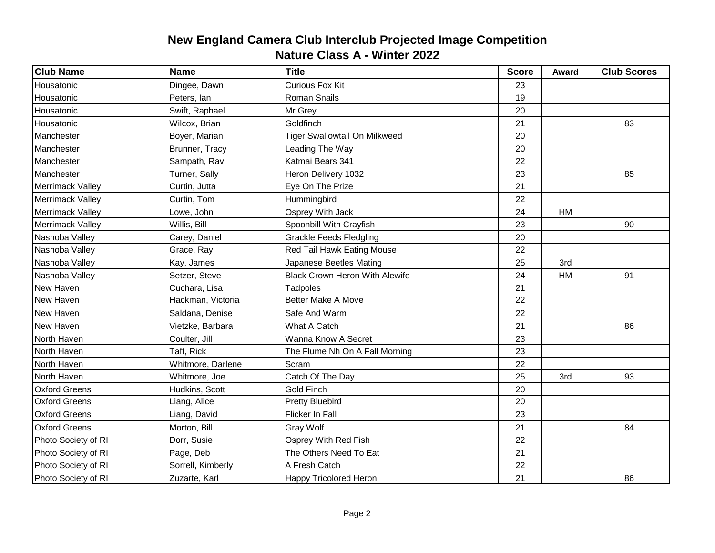| <b>Club Name</b>        | <b>Name</b>       | <b>Title</b>                          | <b>Score</b> | Award | <b>Club Scores</b> |
|-------------------------|-------------------|---------------------------------------|--------------|-------|--------------------|
| Housatonic              | Dingee, Dawn      | <b>Curious Fox Kit</b>                | 23           |       |                    |
| Housatonic              | Peters, lan       | <b>Roman Snails</b>                   | 19           |       |                    |
| Housatonic              | Swift, Raphael    | Mr Grey                               | 20           |       |                    |
| Housatonic              | Wilcox, Brian     | Goldfinch                             | 21           |       | 83                 |
| Manchester              | Boyer, Marian     | <b>Tiger Swallowtail On Milkweed</b>  | 20           |       |                    |
| Manchester              | Brunner, Tracy    | Leading The Way                       | 20           |       |                    |
| Manchester              | Sampath, Ravi     | Katmai Bears 341                      | 22           |       |                    |
| Manchester              | Turner, Sally     | Heron Delivery 1032                   | 23           |       | 85                 |
| Merrimack Valley        | Curtin, Jutta     | Eye On The Prize                      | 21           |       |                    |
| Merrimack Valley        | Curtin, Tom       | Hummingbird                           | 22           |       |                    |
| Merrimack Valley        | Lowe, John        | Osprey With Jack                      | 24           | HM    |                    |
| <b>Merrimack Valley</b> | Willis, Bill      | Spoonbill With Crayfish               | 23           |       | 90                 |
| Nashoba Valley          | Carey, Daniel     | <b>Grackle Feeds Fledgling</b>        | 20           |       |                    |
| Nashoba Valley          | Grace, Ray        | Red Tail Hawk Eating Mouse            | 22           |       |                    |
| Nashoba Valley          | Kay, James        | Japanese Beetles Mating               | 25           | 3rd   |                    |
| Nashoba Valley          | Setzer, Steve     | <b>Black Crown Heron With Alewife</b> | 24           | HM    | 91                 |
| New Haven               | Cuchara, Lisa     | <b>Tadpoles</b>                       | 21           |       |                    |
| New Haven               | Hackman, Victoria | <b>Better Make A Move</b>             | 22           |       |                    |
| New Haven               | Saldana, Denise   | Safe And Warm                         | 22           |       |                    |
| New Haven               | Vietzke, Barbara  | What A Catch                          | 21           |       | 86                 |
| North Haven             | Coulter, Jill     | Wanna Know A Secret                   | 23           |       |                    |
| North Haven             | Taft, Rick        | The Flume Nh On A Fall Morning        | 23           |       |                    |
| North Haven             | Whitmore, Darlene | Scram                                 | 22           |       |                    |
| North Haven             | Whitmore, Joe     | Catch Of The Day                      | 25           | 3rd   | 93                 |
| <b>Oxford Greens</b>    | Hudkins, Scott    | <b>Gold Finch</b>                     | 20           |       |                    |
| <b>Oxford Greens</b>    | Liang, Alice      | <b>Pretty Bluebird</b>                | 20           |       |                    |
| <b>Oxford Greens</b>    | Liang, David      | Flicker In Fall                       | 23           |       |                    |
| <b>Oxford Greens</b>    | Morton, Bill      | Gray Wolf                             | 21           |       | 84                 |
| Photo Society of RI     | Dorr, Susie       | Osprey With Red Fish                  | 22           |       |                    |
| Photo Society of RI     | Page, Deb         | The Others Need To Eat                | 21           |       |                    |
| Photo Society of RI     | Sorrell, Kimberly | A Fresh Catch                         | 22           |       |                    |
| Photo Society of RI     | Zuzarte, Karl     | Happy Tricolored Heron                | 21           |       | 86                 |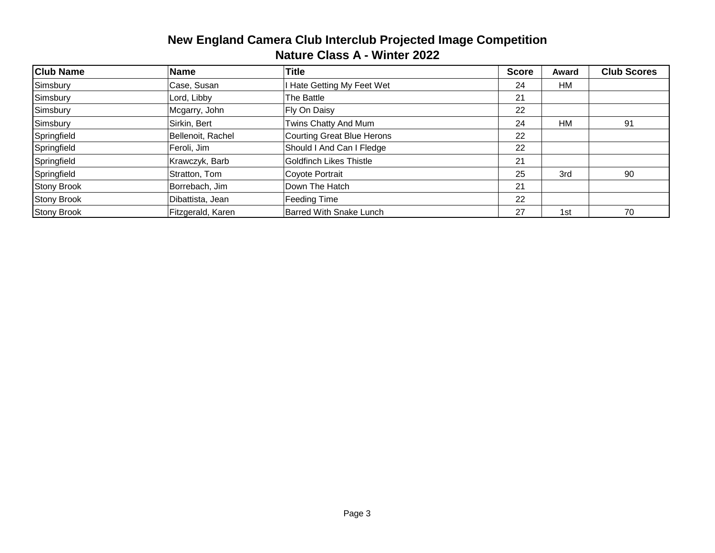| <b>Club Name</b>   | <b>Name</b>       | <b>Title</b>                   | <b>Score</b> | Award | <b>Club Scores</b> |
|--------------------|-------------------|--------------------------------|--------------|-------|--------------------|
| Simsbury           | Case, Susan       | I Hate Getting My Feet Wet     | 24           | HM    |                    |
| Simsbury           | Lord, Libby       | The Battle                     | 21           |       |                    |
| Simsbury           | Mcgarry, John     | Fly On Daisy                   | 22           |       |                    |
| Simsbury           | Sirkin, Bert      | Twins Chatty And Mum           | 24           | HM    | 91                 |
| Springfield        | Bellenoit, Rachel | Courting Great Blue Herons     | 22           |       |                    |
| Springfield        | Feroli, Jim       | Should I And Can I Fledge      | 22           |       |                    |
| Springfield        | Krawczyk, Barb    | Goldfinch Likes Thistle        | 21           |       |                    |
| Springfield        | Stratton, Tom     | Coyote Portrait                | 25           | 3rd   | 90                 |
| <b>Stony Brook</b> | Borrebach, Jim    | Down The Hatch                 | 21           |       |                    |
| <b>Stony Brook</b> | Dibattista, Jean  | Feeding Time                   | 22           |       |                    |
| <b>Stony Brook</b> | Fitzgerald, Karen | <b>Barred With Snake Lunch</b> | 27           | 1st   | 70                 |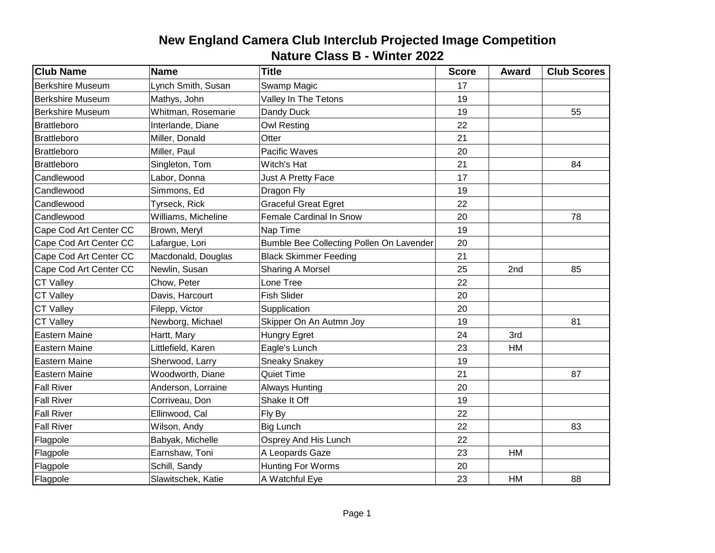| <b>Club Name</b>        | <b>Name</b>         | <b>Title</b>                             | <b>Score</b> | Award | <b>Club Scores</b> |
|-------------------------|---------------------|------------------------------------------|--------------|-------|--------------------|
| <b>Berkshire Museum</b> | Lynch Smith, Susan  | Swamp Magic                              | 17           |       |                    |
| <b>Berkshire Museum</b> | Mathys, John        | Valley In The Tetons                     | 19           |       |                    |
| <b>Berkshire Museum</b> | Whitman, Rosemarie  | Dandy Duck                               | 19           |       | 55                 |
| Brattleboro             | Interlande, Diane   | <b>Owl Resting</b>                       | 22           |       |                    |
| Brattleboro             | Miller, Donald      | Otter                                    | 21           |       |                    |
| <b>Brattleboro</b>      | Miller, Paul        | Pacific Waves                            | 20           |       |                    |
| Brattleboro             | Singleton, Tom      | Witch's Hat                              | 21           |       | 84                 |
| Candlewood              | Labor, Donna        | Just A Pretty Face                       | 17           |       |                    |
| Candlewood              | Simmons, Ed         | Dragon Fly                               | 19           |       |                    |
| Candlewood              | Tyrseck, Rick       | <b>Graceful Great Egret</b>              | 22           |       |                    |
| Candlewood              | Williams, Micheline | Female Cardinal In Snow                  | 20           |       | 78                 |
| Cape Cod Art Center CC  | Brown, Meryl        | Nap Time                                 | 19           |       |                    |
| Cape Cod Art Center CC  | Lafargue, Lori      | Bumble Bee Collecting Pollen On Lavender | 20           |       |                    |
| Cape Cod Art Center CC  | Macdonald, Douglas  | <b>Black Skimmer Feeding</b>             | 21           |       |                    |
| Cape Cod Art Center CC  | Newlin, Susan       | Sharing A Morsel                         | 25           | 2nd   | 85                 |
| <b>CT Valley</b>        | Chow, Peter         | Lone Tree                                | 22           |       |                    |
| <b>CT Valley</b>        | Davis, Harcourt     | <b>Fish Slider</b>                       | 20           |       |                    |
| <b>CT Valley</b>        | Filepp, Victor      | Supplication                             | 20           |       |                    |
| <b>CT Valley</b>        | Newborg, Michael    | Skipper On An Autmn Joy                  | 19           |       | 81                 |
| Eastern Maine           | Hartt, Mary         | Hungry Egret                             | 24           | 3rd   |                    |
| <b>Eastern Maine</b>    | Littlefield, Karen  | Eagle's Lunch                            | 23           | HM    |                    |
| <b>Eastern Maine</b>    | Sherwood, Larry     | <b>Sneaky Snakey</b>                     | 19           |       |                    |
| <b>Eastern Maine</b>    | Woodworth, Diane    | <b>Quiet Time</b>                        | 21           |       | 87                 |
| <b>Fall River</b>       | Anderson, Lorraine  | <b>Always Hunting</b>                    | 20           |       |                    |
| <b>Fall River</b>       | Corriveau, Don      | Shake It Off                             | 19           |       |                    |
| <b>Fall River</b>       | Ellinwood, Cal      | Fly By                                   | 22           |       |                    |
| <b>Fall River</b>       | Wilson, Andy        | <b>Big Lunch</b>                         | 22           |       | 83                 |
| Flagpole                | Babyak, Michelle    | Osprey And His Lunch                     | 22           |       |                    |
| Flagpole                | Earnshaw, Toni      | A Leopards Gaze                          | 23           | HM    |                    |
| Flagpole                | Schill, Sandy       | <b>Hunting For Worms</b>                 | 20           |       |                    |
| Flagpole                | Slawitschek, Katie  | A Watchful Eye                           | 23           | HM    | 88                 |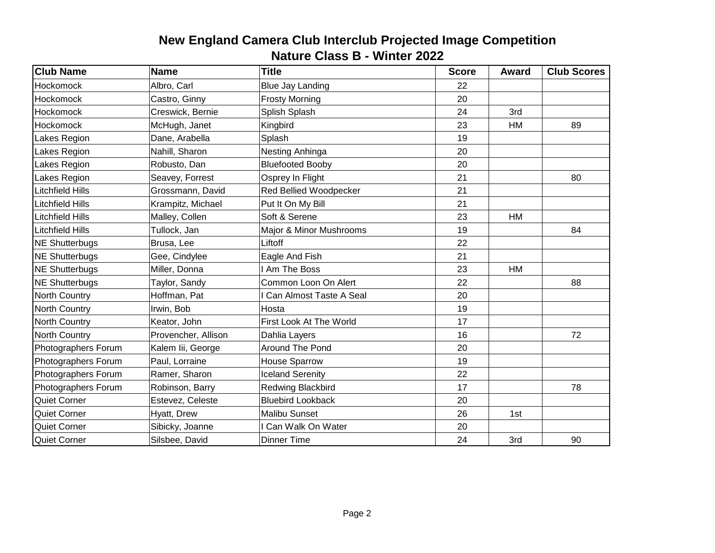| <b>Club Name</b>        | <b>Name</b>         | <b>Title</b>             | <b>Score</b> | Award | <b>Club Scores</b> |
|-------------------------|---------------------|--------------------------|--------------|-------|--------------------|
| Hockomock               | Albro, Carl         | <b>Blue Jay Landing</b>  | 22           |       |                    |
| <b>Hockomock</b>        | Castro, Ginny       | <b>Frosty Morning</b>    | 20           |       |                    |
| <b>Hockomock</b>        | Creswick, Bernie    | Splish Splash            | 24           | 3rd   |                    |
| <b>Hockomock</b>        | McHugh, Janet       | Kingbird                 | 23           | HM    | 89                 |
| Lakes Region            | Dane, Arabella      | Splash                   | 19           |       |                    |
| Lakes Region            | Nahill, Sharon      | Nesting Anhinga          | 20           |       |                    |
| Lakes Region            | Robusto, Dan        | <b>Bluefooted Booby</b>  | 20           |       |                    |
| Lakes Region            | Seavey, Forrest     | Osprey In Flight         | 21           |       | 80                 |
| <b>Litchfield Hills</b> | Grossmann, David    | Red Bellied Woodpecker   | 21           |       |                    |
| <b>Litchfield Hills</b> | Krampitz, Michael   | Put It On My Bill        | 21           |       |                    |
| Litchfield Hills        | Malley, Collen      | Soft & Serene            | 23           | HM    |                    |
| <b>Litchfield Hills</b> | Tullock, Jan        | Major & Minor Mushrooms  | 19           |       | 84                 |
| <b>NE Shutterbugs</b>   | Brusa, Lee          | Liftoff                  | 22           |       |                    |
| <b>NE Shutterbugs</b>   | Gee, Cindylee       | Eagle And Fish           | 21           |       |                    |
| NE Shutterbugs          | Miller, Donna       | I Am The Boss            | 23           | HM    |                    |
| NE Shutterbugs          | Taylor, Sandy       | Common Loon On Alert     | 22           |       | 88                 |
| North Country           | Hoffman, Pat        | Can Almost Taste A Seal  | 20           |       |                    |
| North Country           | Irwin, Bob          | Hosta                    | 19           |       |                    |
| <b>North Country</b>    | Keator, John        | First Look At The World  | 17           |       |                    |
| North Country           | Provencher, Allison | Dahlia Layers            | 16           |       | 72                 |
| Photographers Forum     | Kalem lii, George   | Around The Pond          | 20           |       |                    |
| Photographers Forum     | Paul, Lorraine      | House Sparrow            | 19           |       |                    |
| Photographers Forum     | Ramer, Sharon       | <b>Iceland Serenity</b>  | 22           |       |                    |
| Photographers Forum     | Robinson, Barry     | Redwing Blackbird        | 17           |       | 78                 |
| Quiet Corner            | Estevez, Celeste    | <b>Bluebird Lookback</b> | 20           |       |                    |
| <b>Quiet Corner</b>     | Hyatt, Drew         | <b>Malibu Sunset</b>     | 26           | 1st   |                    |
| Quiet Corner            | Sibicky, Joanne     | I Can Walk On Water      | 20           |       |                    |
| Quiet Corner            | Silsbee, David      | <b>Dinner Time</b>       | 24           | 3rd   | 90                 |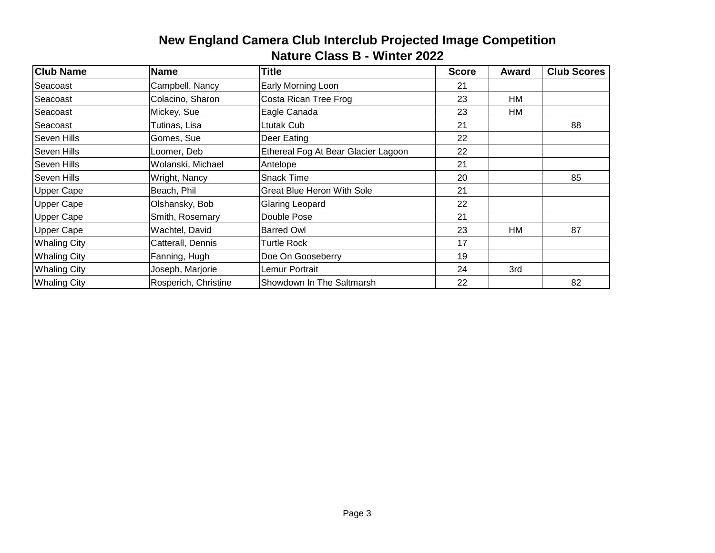| <b>Club Name</b>    | <b>Name</b>          | <b>Title</b>                        | <b>Score</b> | Award | <b>Club Scores</b> |
|---------------------|----------------------|-------------------------------------|--------------|-------|--------------------|
| Seacoast            | Campbell, Nancy      | Early Morning Loon                  | 21           |       |                    |
| Seacoast            | Colacino, Sharon     | Costa Rican Tree Frog               | 23           | HM    |                    |
| Seacoast            | Mickey, Sue          | Eagle Canada                        | 23           | HM    |                    |
| Seacoast            | Tutinas, Lisa        | Ltutak Cub                          | 21           |       | 88                 |
| Seven Hills         | Gomes, Sue           | Deer Eating                         | 22           |       |                    |
| <b>Seven Hills</b>  | Loomer, Deb          | Ethereal Fog At Bear Glacier Lagoon | 22           |       |                    |
| Seven Hills         | Wolanski, Michael    | Antelope                            | 21           |       |                    |
| Seven Hills         | Wright, Nancy        | <b>Snack Time</b>                   | 20           |       | 85                 |
| <b>Upper Cape</b>   | Beach, Phil          | Great Blue Heron With Sole          | 21           |       |                    |
| <b>Upper Cape</b>   | Olshansky, Bob       | Glaring Leopard                     | 22           |       |                    |
| <b>Upper Cape</b>   | Smith, Rosemary      | Double Pose                         | 21           |       |                    |
| <b>Upper Cape</b>   | Wachtel, David       | <b>Barred Owl</b>                   | 23           | HM    | 87                 |
| <b>Whaling City</b> | Catterall, Dennis    | <b>Turtle Rock</b>                  | 17           |       |                    |
| <b>Whaling City</b> | Fanning, Hugh        | Doe On Gooseberry                   | 19           |       |                    |
| <b>Whaling City</b> | Joseph, Marjorie     | Lemur Portrait                      | 24           | 3rd   |                    |
| <b>Whaling City</b> | Rosperich, Christine | Showdown In The Saltmarsh           | 22           |       | 82                 |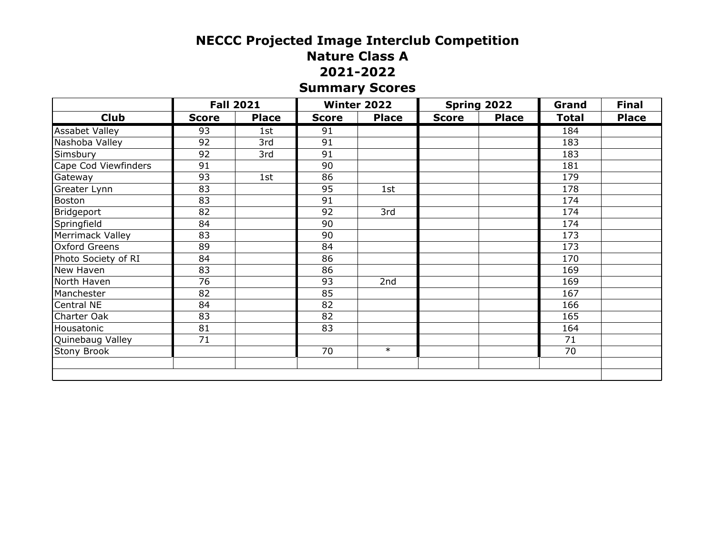# **NECCC Projected Image Interclub Competition Nature Class A 2021-2022 Summary Scores**

|                       | <b>Fall 2021</b> |              |              | Winter 2022  |              | Spring 2022  | Grand        | <b>Final</b> |
|-----------------------|------------------|--------------|--------------|--------------|--------------|--------------|--------------|--------------|
| <b>Club</b>           | <b>Score</b>     | <b>Place</b> | <b>Score</b> | <b>Place</b> | <b>Score</b> | <b>Place</b> | <b>Total</b> | <b>Place</b> |
| <b>Assabet Valley</b> | $\overline{93}$  | 1st          | 91           |              |              |              | 184          |              |
| Nashoba Valley        | 92               | 3rd          | 91           |              |              |              | 183          |              |
| Simsbury              | 92               | 3rd          | 91           |              |              |              | 183          |              |
| Cape Cod Viewfinders  | 91               |              | 90           |              |              |              | 181          |              |
| Gateway               | 93               | 1st          | 86           |              |              |              | 179          |              |
| Greater Lynn          | 83               |              | 95           | 1st          |              |              | 178          |              |
| <b>Boston</b>         | 83               |              | 91           |              |              |              | 174          |              |
| Bridgeport            | 82               |              | 92           | 3rd          |              |              | 174          |              |
| Springfield           | 84               |              | 90           |              |              |              | 174          |              |
| Merrimack Valley      | 83               |              | 90           |              |              |              | 173          |              |
| <b>Oxford Greens</b>  | 89               |              | 84           |              |              |              | 173          |              |
| Photo Society of RI   | 84               |              | 86           |              |              |              | 170          |              |
| New Haven             | 83               |              | 86           |              |              |              | 169          |              |
| North Haven           | 76               |              | 93           | 2nd          |              |              | 169          |              |
| Manchester            | 82               |              | 85           |              |              |              | 167          |              |
| Central NE            | 84               |              | 82           |              |              |              | 166          |              |
| Charter Oak           | 83               |              | 82           |              |              |              | 165          |              |
| Housatonic            | 81               |              | 83           |              |              |              | 164          |              |
| Quinebaug Valley      | 71               |              |              |              |              |              | 71           |              |
| <b>Stony Brook</b>    |                  |              | 70           | $\ast$       |              |              | 70           |              |
|                       |                  |              |              |              |              |              |              |              |
|                       |                  |              |              |              |              |              |              |              |